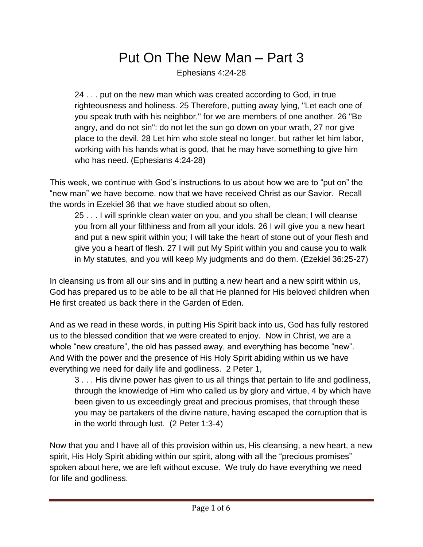## Put On The New Man – Part 3

Ephesians 4:24-28

24 . . . put on the new man which was created according to God, in true righteousness and holiness. 25 Therefore, putting away lying, "Let each one of you speak truth with his neighbor," for we are members of one another. 26 "Be angry, and do not sin": do not let the sun go down on your wrath, 27 nor give place to the devil. 28 Let him who stole steal no longer, but rather let him labor, working with his hands what is good, that he may have something to give him who has need. (Ephesians 4:24-28)

This week, we continue with God's instructions to us about how we are to "put on" the "new man" we have become, now that we have received Christ as our Savior. Recall the words in Ezekiel 36 that we have studied about so often,

25 . . . I will sprinkle clean water on you, and you shall be clean; I will cleanse you from all your filthiness and from all your idols. 26 I will give you a new heart and put a new spirit within you; I will take the heart of stone out of your flesh and give you a heart of flesh. 27 I will put My Spirit within you and cause you to walk in My statutes, and you will keep My judgments and do them. (Ezekiel 36:25-27)

In cleansing us from all our sins and in putting a new heart and a new spirit within us, God has prepared us to be able to be all that He planned for His beloved children when He first created us back there in the Garden of Eden.

And as we read in these words, in putting His Spirit back into us, God has fully restored us to the blessed condition that we were created to enjoy. Now in Christ, we are a whole "new creature", the old has passed away, and everything has become "new". And With the power and the presence of His Holy Spirit abiding within us we have everything we need for daily life and godliness. 2 Peter 1,

3 . . . His divine power has given to us all things that pertain to life and godliness, through the knowledge of Him who called us by glory and virtue, 4 by which have been given to us exceedingly great and precious promises, that through these you may be partakers of the divine nature, having escaped the corruption that is in the world through lust. (2 Peter 1:3-4)

Now that you and I have all of this provision within us, His cleansing, a new heart, a new spirit, His Holy Spirit abiding within our spirit, along with all the "precious promises" spoken about here, we are left without excuse. We truly do have everything we need for life and godliness.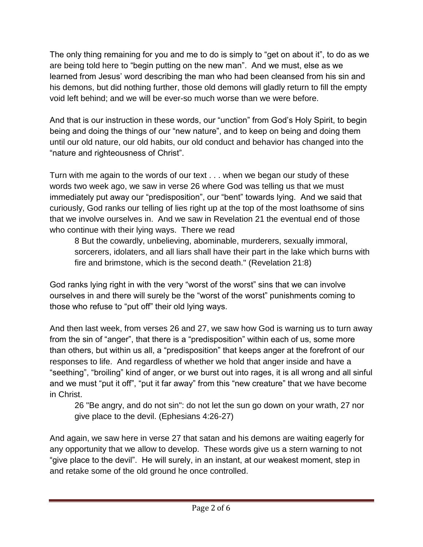The only thing remaining for you and me to do is simply to "get on about it", to do as we are being told here to "begin putting on the new man". And we must, else as we learned from Jesus' word describing the man who had been cleansed from his sin and his demons, but did nothing further, those old demons will gladly return to fill the empty void left behind; and we will be ever-so much worse than we were before.

And that is our instruction in these words, our "unction" from God's Holy Spirit, to begin being and doing the things of our "new nature", and to keep on being and doing them until our old nature, our old habits, our old conduct and behavior has changed into the "nature and righteousness of Christ".

Turn with me again to the words of our text . . . when we began our study of these words two week ago, we saw in verse 26 where God was telling us that we must immediately put away our "predisposition", our "bent" towards lying. And we said that curiously, God ranks our telling of lies right up at the top of the most loathsome of sins that we involve ourselves in. And we saw in Revelation 21 the eventual end of those who continue with their lying ways. There we read

8 But the cowardly, unbelieving, abominable, murderers, sexually immoral, sorcerers, idolaters, and all liars shall have their part in the lake which burns with fire and brimstone, which is the second death." (Revelation 21:8)

God ranks lying right in with the very "worst of the worst" sins that we can involve ourselves in and there will surely be the "worst of the worst" punishments coming to those who refuse to "put off" their old lying ways.

And then last week, from verses 26 and 27, we saw how God is warning us to turn away from the sin of "anger", that there is a "predisposition" within each of us, some more than others, but within us all, a "predisposition" that keeps anger at the forefront of our responses to life. And regardless of whether we hold that anger inside and have a "seething", "broiling" kind of anger, or we burst out into rages, it is all wrong and all sinful and we must "put it off", "put it far away" from this "new creature" that we have become in Christ.

26 "Be angry, and do not sin": do not let the sun go down on your wrath, 27 nor give place to the devil. (Ephesians 4:26-27)

And again, we saw here in verse 27 that satan and his demons are waiting eagerly for any opportunity that we allow to develop. These words give us a stern warning to not "give place to the devil". He will surely, in an instant, at our weakest moment, step in and retake some of the old ground he once controlled.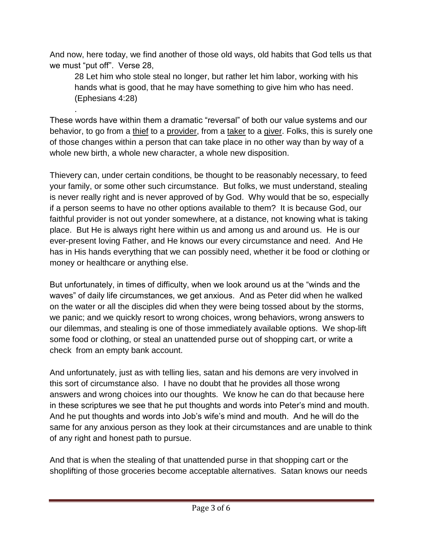And now, here today, we find another of those old ways, old habits that God tells us that we must "put off". Verse 28,

28 Let him who stole steal no longer, but rather let him labor, working with his hands what is good, that he may have something to give him who has need. (Ephesians 4:28)

These words have within them a dramatic "reversal" of both our value systems and our behavior, to go from a thief to a provider, from a taker to a giver. Folks, this is surely one of those changes within a person that can take place in no other way than by way of a whole new birth, a whole new character, a whole new disposition.

.

Thievery can, under certain conditions, be thought to be reasonably necessary, to feed your family, or some other such circumstance. But folks, we must understand, stealing is never really right and is never approved of by God. Why would that be so, especially if a person seems to have no other options available to them? It is because God, our faithful provider is not out yonder somewhere, at a distance, not knowing what is taking place. But He is always right here within us and among us and around us. He is our ever-present loving Father, and He knows our every circumstance and need. And He has in His hands everything that we can possibly need, whether it be food or clothing or money or healthcare or anything else.

But unfortunately, in times of difficulty, when we look around us at the "winds and the waves" of daily life circumstances, we get anxious. And as Peter did when he walked on the water or all the disciples did when they were being tossed about by the storms, we panic; and we quickly resort to wrong choices, wrong behaviors, wrong answers to our dilemmas, and stealing is one of those immediately available options. We shop-lift some food or clothing, or steal an unattended purse out of shopping cart, or write a check from an empty bank account.

And unfortunately, just as with telling lies, satan and his demons are very involved in this sort of circumstance also. I have no doubt that he provides all those wrong answers and wrong choices into our thoughts. We know he can do that because here in these scriptures we see that he put thoughts and words into Peter's mind and mouth. And he put thoughts and words into Job's wife's mind and mouth. And he will do the same for any anxious person as they look at their circumstances and are unable to think of any right and honest path to pursue.

And that is when the stealing of that unattended purse in that shopping cart or the shoplifting of those groceries become acceptable alternatives. Satan knows our needs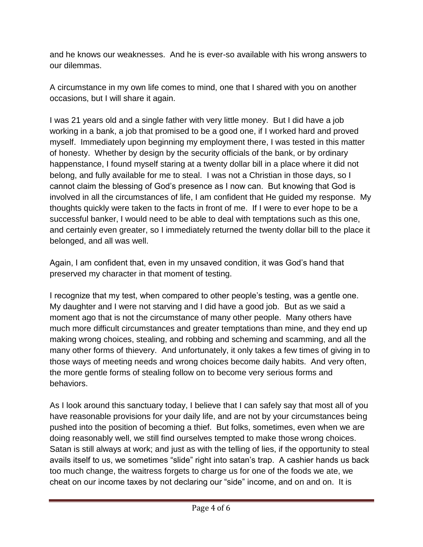and he knows our weaknesses. And he is ever-so available with his wrong answers to our dilemmas.

A circumstance in my own life comes to mind, one that I shared with you on another occasions, but I will share it again.

I was 21 years old and a single father with very little money. But I did have a job working in a bank, a job that promised to be a good one, if I worked hard and proved myself. Immediately upon beginning my employment there, I was tested in this matter of honesty. Whether by design by the security officials of the bank, or by ordinary happenstance, I found myself staring at a twenty dollar bill in a place where it did not belong, and fully available for me to steal. I was not a Christian in those days, so I cannot claim the blessing of God's presence as I now can. But knowing that God is involved in all the circumstances of life, I am confident that He guided my response. My thoughts quickly were taken to the facts in front of me. If I were to ever hope to be a successful banker, I would need to be able to deal with temptations such as this one, and certainly even greater, so I immediately returned the twenty dollar bill to the place it belonged, and all was well.

Again, I am confident that, even in my unsaved condition, it was God's hand that preserved my character in that moment of testing.

I recognize that my test, when compared to other people's testing, was a gentle one. My daughter and I were not starving and I did have a good job. But as we said a moment ago that is not the circumstance of many other people. Many others have much more difficult circumstances and greater temptations than mine, and they end up making wrong choices, stealing, and robbing and scheming and scamming, and all the many other forms of thievery. And unfortunately, it only takes a few times of giving in to those ways of meeting needs and wrong choices become daily habits. And very often, the more gentle forms of stealing follow on to become very serious forms and behaviors.

As I look around this sanctuary today, I believe that I can safely say that most all of you have reasonable provisions for your daily life, and are not by your circumstances being pushed into the position of becoming a thief. But folks, sometimes, even when we are doing reasonably well, we still find ourselves tempted to make those wrong choices. Satan is still always at work; and just as with the telling of lies, if the opportunity to steal avails itself to us, we sometimes "slide" right into satan's trap. A cashier hands us back too much change, the waitress forgets to charge us for one of the foods we ate, we cheat on our income taxes by not declaring our "side" income, and on and on. It is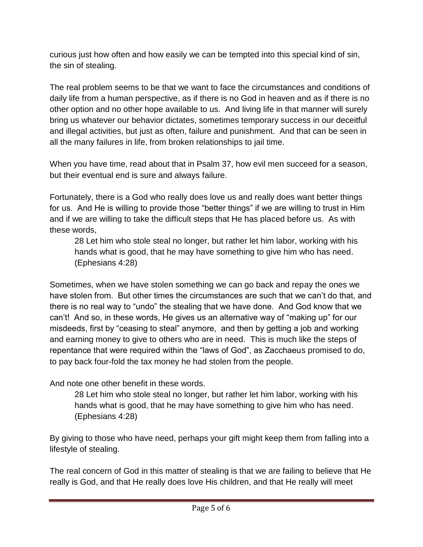curious just how often and how easily we can be tempted into this special kind of sin, the sin of stealing.

The real problem seems to be that we want to face the circumstances and conditions of daily life from a human perspective, as if there is no God in heaven and as if there is no other option and no other hope available to us. And living life in that manner will surely bring us whatever our behavior dictates, sometimes temporary success in our deceitful and illegal activities, but just as often, failure and punishment. And that can be seen in all the many failures in life, from broken relationships to jail time.

When you have time, read about that in Psalm 37, how evil men succeed for a season, but their eventual end is sure and always failure.

Fortunately, there is a God who really does love us and really does want better things for us. And He is willing to provide those "better things" if we are willing to trust in Him and if we are willing to take the difficult steps that He has placed before us. As with these words,

28 Let him who stole steal no longer, but rather let him labor, working with his hands what is good, that he may have something to give him who has need. (Ephesians 4:28)

Sometimes, when we have stolen something we can go back and repay the ones we have stolen from. But other times the circumstances are such that we can't do that, and there is no real way to "undo" the stealing that we have done. And God know that we can't! And so, in these words, He gives us an alternative way of "making up" for our misdeeds, first by "ceasing to steal" anymore, and then by getting a job and working and earning money to give to others who are in need. This is much like the steps of repentance that were required within the "laws of God", as Zacchaeus promised to do, to pay back four-fold the tax money he had stolen from the people.

And note one other benefit in these words.

28 Let him who stole steal no longer, but rather let him labor, working with his hands what is good, that he may have something to give him who has need. (Ephesians 4:28)

By giving to those who have need, perhaps your gift might keep them from falling into a lifestyle of stealing.

The real concern of God in this matter of stealing is that we are failing to believe that He really is God, and that He really does love His children, and that He really will meet